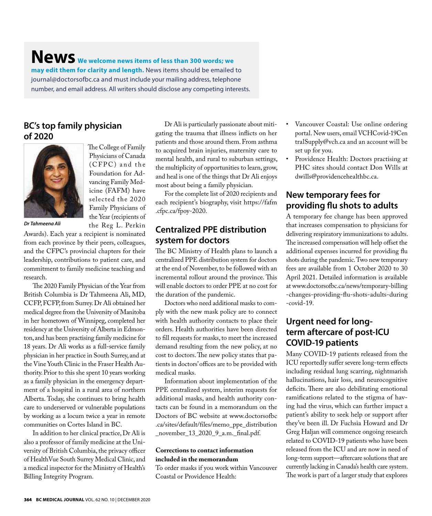**News We welcome news items of less than 300 words; we may edit them for clarity and length.** News items should be emailed to journal@doctorsofbc.ca and must include your mailing address, telephone number, and email address. All writers should disclose any competing interests.

> The College of Family Physicians of Canada (CFPC) and the Foundation for Advancing Family Medicine (FAFM) have selected the 2020 Family Physicians of the Year (recipients of the Reg L. Perkin

#### **BC's top family physician of 2020**



*Dr Tahmeena Ali*

Awards). Each year a recipient is nominated from each province by their peers, colleagues, and the CFPC's provincial chapters for their leadership, contributions to patient care, and commitment to family medicine teaching and research.

The 2020 Family Physician of the Year from British Columbia is Dr Tahmeena Ali, MD, CCFP, FCFP, from Surrey. Dr Ali obtained her medical degree from the University of Manitoba in her hometown of Winnipeg, completed her residency at the University of Alberta in Edmonton, and has been practising family medicine for 18 years. Dr Ali works as a full-service family physician in her practice in South Surrey, and at the Vine Youth Clinic in the Fraser Health Authority. Prior to this she spent 10 years working as a family physician in the emergency department of a hospital in a rural area of northern Alberta. Today, she continues to bring health care to underserved or vulnerable populations by working as a locum twice a year in remote communities on Cortes Island in BC.

In addition to her clinical practice, Dr Ali is also a professor of family medicine at the University of British Columbia, the privacy officer of HealthVue South Surrey Medical Clinic, and a medical inspector for the Ministry of Health's Billing Integrity Program.

Dr Ali is particularly passionate about mitigating the trauma that illness inflicts on her patients and those around them. From asthma to acquired brain injuries, maternity care to mental health, and rural to suburban settings, the multiplicity of opportunities to learn, grow, and heal is one of the things that Dr Ali enjoys most about being a family physician.

For the complete list of 2020 recipients and each recipient's biography, visit https://fafm .cfpc.ca/fpoy-2020.

#### **Centralized PPE distribution system for doctors**

The BC Ministry of Health plans to launch a centralized PPE distribution system for doctors at the end of November, to be followed with an incremental rollout around the province. This will enable doctors to order PPE at no cost for the duration of the pandemic.

Doctors who need additional masks to comply with the new mask policy are to connect with health authority contacts to place their orders. Health authorities have been directed to fill requests for masks, to meet the increased demand resulting from the new policy, at no cost to doctors. The new policy states that patients in doctors' offices are to be provided with medical masks.

Information about implementation of the PPE centralized system, interim requests for additional masks, and health authority contacts can be found in a memorandum on the Doctors of BC website at www.doctorsofbc .ca/sites/default/files/memo\_ppe\_distribution \_november\_13\_2020\_9\_a.m.\_final.pdf.

#### **Corrections to contact information included in the memorandum**

To order masks if you work within Vancouver Coastal or Providence Health:

- Vancouver Coastal: Use online ordering portal. New users, email VCHCovid-19Cen tralSupply@vch.ca and an account will be set up for you.
- Providence Health: Doctors practising at PHC sites should contact Don Wills at dwills@providencehealthbc.ca.

#### **New temporary fees for providing flu shots to adults**

A temporary fee change has been approved that increases compensation to physicians for delivering respiratory immunizations to adults. The increased compensation will help offset the additional expenses incurred for providing flu shots during the pandemic. Two new temporary fees are available from 1 October 2020 to 30 April 2021. Detailed information is available at www.doctorsofbc.ca/news/temporary-billing -changes-providing-flu-shots-adults-during -covid-19.

### **Urgent need for longterm aftercare of post-ICU COVID-19 patients**

Many COVID-19 patients released from the ICU reportedly suffer severe long-term effects including residual lung scarring, nightmarish hallucinations, hair loss, and neurocognitive deficits. There are also debilitating emotional ramifications related to the stigma of having had the virus, which can further impact a patient's ability to seek help or support after they've been ill. Dr Fuchsia Howard and Dr Greg Haljan will commence ongoing research related to COVID-19 patients who have been released from the ICU and are now in need of long-term support—aftercare solutions that are currently lacking in Canada's health care system. The work is part of a larger study that explores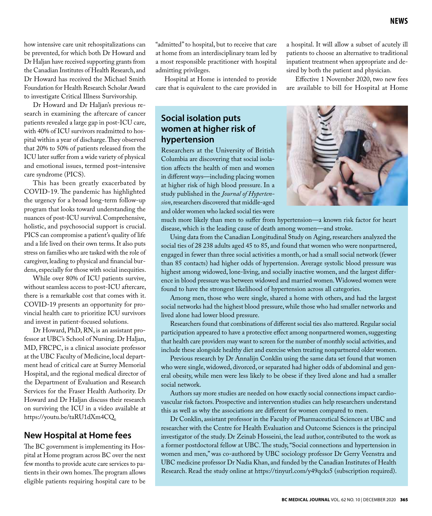how intensive care unit rehospitalizations can be prevented, for which both Dr Howard and Dr Haljan have received supporting grants from the Canadian Institutes of Health Research, and Dr Howard has received the Michael Smith Foundation for Health Research Scholar Award to investigate Critical Illness Survivorship.

Dr Howard and Dr Haljan's previous research in examining the aftercare of cancer patients revealed a large gap in post-ICU care, with 40% of ICU survivors readmitted to hospital within a year of discharge. They observed that 20% to 50% of patients released from the ICU later suffer from a wide variety of physical and emotional issues, termed post–intensive care syndrome (PICS).

This has been greatly exacerbated by COVID-19. The pandemic has highlighted the urgency for a broad long-term follow-up program that looks toward understanding the nuances of post-ICU survival. Comprehensive, holistic, and psychosocial support is crucial. PICS can compromise a patient's quality of life and a life lived on their own terms. It also puts stress on families who are tasked with the role of caregiver, leading to physical and financial burdens, especially for those with social inequities.

While over 80% of ICU patients survive, without seamless access to post-ICU aftercare, there is a remarkable cost that comes with it. COVID-19 presents an opportunity for provincial health care to prioritize ICU survivors and invest in patient-focused solutions.

Dr Howard, PhD, RN, is an assistant professor at UBC's School of Nursing. Dr Haljan, MD, FRCPC, is a clinical associate professor at the UBC Faculty of Medicine, local department head of critical care at Surrey Memorial Hospital, and the regional medical director of the Department of Evaluation and Research Services for the Fraser Health Authority. Dr Howard and Dr Haljan discuss their research on surviving the ICU in a video available at https://youtu.be/taRU1dXm4CQ.

#### **New Hospital at Home fees**

The BC government is implementing its Hospital at Home program across BC over the next few months to provide acute care services to patients in their own homes. The program allows eligible patients requiring hospital care to be

"admitted" to hospital, but to receive that care at home from an interdisciplinary team led by a most responsible practitioner with hospital admitting privileges.

Hospital at Home is intended to provide care that is equivalent to the care provided in a hospital. It will allow a subset of acutely ill patients to choose an alternative to traditional inpatient treatment when appropriate and desired by both the patient and physician.

Effective 1 November 2020, two new fees are available to bill for Hospital at Home

## **Social isolation puts women at higher risk of hypertension**

Researchers at the University of British Columbia are discovering that social isolation affects the health of men and women in different ways—including placing women at higher risk of high blood pressure. In a study published in the *Journal of Hypertension*, researchers discovered that middle-aged and older women who lacked social ties were



much more likely than men to suffer from hypertension—a known risk factor for heart disease, which is the leading cause of death among women—and stroke.

Using data from the Canadian Longitudinal Study on Aging, researchers analyzed the social ties of 28 238 adults aged 45 to 85, and found that women who were nonpartnered, engaged in fewer than three social activities a month, or had a small social network (fewer than 85 contacts) had higher odds of hypertension. Average systolic blood pressure was highest among widowed, lone-living, and socially inactive women, and the largest difference in blood pressure was between widowed and married women. Widowed women were found to have the strongest likelihood of hypertension across all categories.

Among men, those who were single, shared a home with others, and had the largest social networks had the highest blood pressure, while those who had smaller networks and lived alone had lower blood pressure.

Researchers found that combinations of different social ties also mattered. Regular social participation appeared to have a protective effect among nonpartnered women, suggesting that health care providers may want to screen for the number of monthly social activities, and include these alongside healthy diet and exercise when treating nonpartnered older women.

Previous research by Dr Annalijn Conklin using the same data set found that women who were single, widowed, divorced, or separated had higher odds of abdominal and general obesity, while men were less likely to be obese if they lived alone and had a smaller social network.

Authors say more studies are needed on how exactly social connections impact cardiovascular risk factors. Prospective and intervention studies can help researchers understand this as well as why the associations are different for women compared to men.

Dr Conklin, assistant professor in the Faculty of Pharmaceutical Sciences at UBC and researcher with the Centre for Health Evaluation and Outcome Sciences is the principal investigator of the study. Dr Zeinab Hosseini, the lead author, contributed to the work as a former postdoctoral fellow at UBC. The study, "Social connections and hypertension in women and men," was co-authored by UBC sociology professor Dr Gerry Veenstra and UBC medicine professor Dr Nadia Khan, and funded by the Canadian Institutes of Health Research. Read the study online at https://tinyurl.com/y49qcks5 (subscription required).